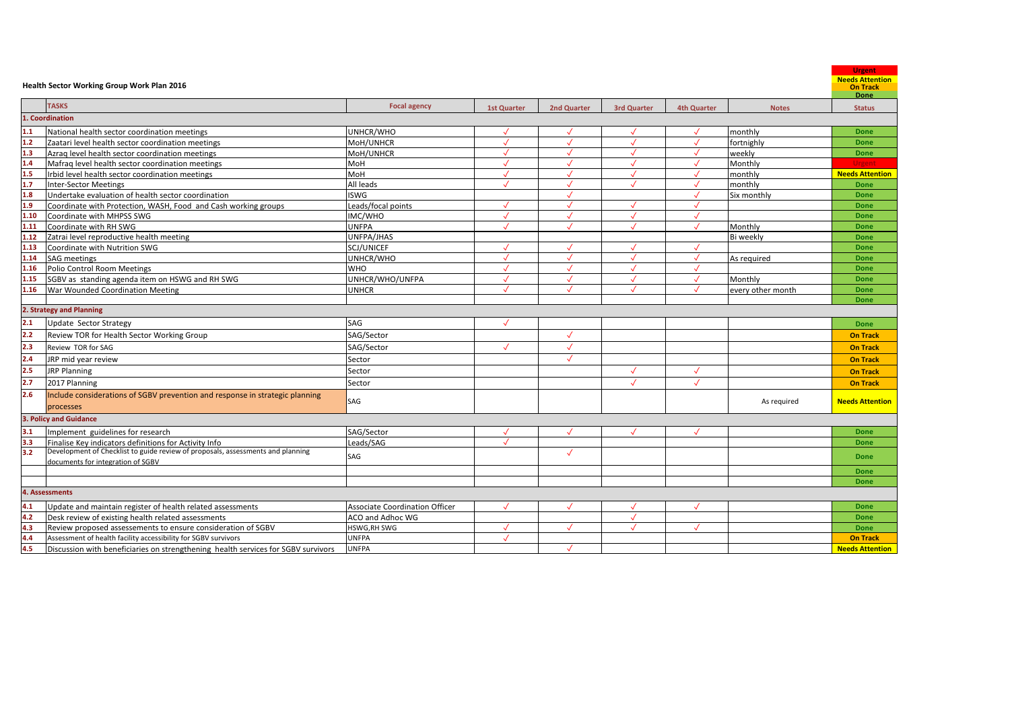| <b>TASKS</b><br><b>Focal agency</b><br><b>1st Quarter</b><br>2nd Quarter<br>3rd Quarter<br><b>4th Quarter</b><br><b>Status</b><br><b>Notes</b><br>1. Coordination<br>$\frac{1.1}{1.2}$<br>$\frac{1.2}{1.3}$<br>UNHCR/WHO<br>National health sector coordination meetings<br>monthly<br><b>Done</b><br>$\sqrt{ }$<br>MoH/UNHCR<br>$\sqrt{2}$<br>$\sqrt{ }$<br>Zaatari level health sector coordination meetings<br>$\sqrt{ }$<br>$\sqrt{ }$<br>fortnighly<br>Done<br>MoH/UNHCR<br>$\checkmark$<br>$\checkmark$<br>Azraq level health sector coordination meetings<br>$\cdot$<br>$\checkmark$<br>weekly<br><b>Done</b><br>$\frac{1.4}{1.5}$<br>$\frac{1.7}{1.8}$<br>$\frac{1.8}{1.9}$<br>$\checkmark$<br>$\checkmark$<br>Monthly<br>Mafrag level health sector coordination meetings<br>MoH<br><b>Urgent</b><br>Irbid level health sector coordination meetings<br><b>MoH</b><br>$\checkmark$<br>monthly<br><b>Needs Attention</b><br>$\sqrt{}$<br>$\sqrt{}$<br>$\checkmark$<br><b>Done</b><br>Inter-Sector Meetings<br>All leads<br>$\checkmark$<br>monthly<br>$\cdot$<br>$\sqrt{ }$<br>Undertake evaluation of health sector coordination<br><b>ISWG</b><br>$\sqrt{ }$<br>Six monthly<br>$\cdot$<br><b>Done</b><br>Leads/focal points<br>Coordinate with Protection, WASH, Food and Cash working groups<br><b>Done</b><br>$\sqrt{}$<br>$1.10$<br>$\checkmark$<br>$\checkmark$<br>Coordinate with MHPSS SWG<br>IMC/WHO<br>$\sqrt{}$<br>Done<br>1.11<br>Coordinate with RH SWG<br><b>UNFPA</b><br>$\sqrt{ }$<br>$\sqrt{ }$<br>$\sqrt{ }$<br>$\sqrt{}$<br>Monthly<br><b>Done</b><br>1.12<br>Zatrai level reproductive health meeting<br>UNFPA/JHAS<br>Bi weekly<br><b>Done</b><br>1.13<br>Coordinate with Nutrition SWG<br>SCJ/UNICEF<br>$\checkmark$<br>$\checkmark$<br>$\sqrt{ }$<br>$\sqrt{}$<br><b>Done</b><br>1.14<br>$\checkmark$<br>$\checkmark$<br><b>SAG</b> meetings<br>UNHCR/WHO<br>$\checkmark$<br>As required<br>Done<br>1.16<br>$\sqrt{}$<br>$\checkmark$<br>Polio Control Room Meetings<br><b>WHO</b><br>$\sqrt{ }$<br><b>Done</b><br>$\sqrt{ }$<br>1.15<br>SGBV as standing agenda item on HSWG and RH SWG<br>UNHCR/WHO/UNFPA<br>$\checkmark$<br>$\sqrt{}$<br>$\checkmark$<br>$\checkmark$<br>Monthly<br><b>Done</b><br>1.16<br>War Wounded Coordination Meeting<br><b>UNHCR</b><br>every other month<br>$\sqrt{ }$<br>$\checkmark$<br>$\checkmark$<br><b>Done</b><br><b>Done</b><br>2. Strategy and Planning<br>2.1<br>SAG<br>Update Sector Strategy<br>$\checkmark$<br>Done<br>$\frac{2.2}{2.3}$<br>$\sqrt{}$<br>Review TOR for Health Sector Working Group<br>SAG/Sector<br><b>On Track</b><br>SAG/Sector<br>$\sqrt{}$<br>$\checkmark$<br>Review TOR for SAG<br><b>On Track</b><br>$\frac{1}{2.4}$<br>$\frac{2.5}{2.7}$<br>$\checkmark$<br>JRP mid year review<br>Sector<br><b>On Track</b><br>$\checkmark$<br><b>JRP Planning</b><br>$\checkmark$<br>Sector<br><b>On Track</b><br>$\checkmark$<br>$\checkmark$<br>2017 Planning<br>Sector<br><b>On Track</b><br>$\overline{2.6}$<br>Include considerations of SGBV prevention and response in strategic planning<br>SAG<br><b>Needs Attention</b><br>As required<br>processes<br>3. Policy and Guidance<br>$\overline{3.1}$<br>SAG/Sector<br>Implement guidelines for research<br>$\sqrt{ }$<br><b>Done</b><br>$\sqrt{ }$<br>$\begin{array}{c} 3.3 \\ 3.2 \end{array}$<br>Finalise Key indicators definitions for Activity Info<br>Leads/SAG<br>$\checkmark$<br>Done<br>Development of Checklist to guide review of proposals, assessments and planning<br>$\checkmark$<br>SAG<br><b>Done</b><br>documents for integration of SGBV<br><b>Done</b><br>Done<br>4. Assessments<br>4.1<br>$\checkmark$<br>Update and maintain register of health related assessments<br><b>Associate Coordination Officer</b><br>$\sqrt{ }$<br>$\sqrt{}$<br>$\sqrt{}$<br><b>Done</b><br>$4.2$<br>$4.3$<br>$4.4$<br>$4.5$<br>$\cdot$<br>Desk review of existing health related assessments<br>ACO and Adhoc WG<br>Done<br>Review proposed assessements to ensure consideration of SGBV<br>HSWG, RH SWG<br>$\checkmark$<br>$\checkmark$<br>$\checkmark$<br>$\checkmark$<br>Done<br>Assessment of health facility accessibility for SGBV survivors<br><b>UNFPA</b><br><b>On Track</b><br>$\sqrt{ }$<br><b>UNFPA</b><br>Discussion with beneficiaries on strengthening health services for SGBV survivors<br><b>Needs Attention</b><br>$\checkmark$ | Health Sector Working Group Work Plan 2016 |  |  |  | <b>Urgent</b><br><b>Needs Attention</b><br><b>On Track</b><br>Done |
|----------------------------------------------------------------------------------------------------------------------------------------------------------------------------------------------------------------------------------------------------------------------------------------------------------------------------------------------------------------------------------------------------------------------------------------------------------------------------------------------------------------------------------------------------------------------------------------------------------------------------------------------------------------------------------------------------------------------------------------------------------------------------------------------------------------------------------------------------------------------------------------------------------------------------------------------------------------------------------------------------------------------------------------------------------------------------------------------------------------------------------------------------------------------------------------------------------------------------------------------------------------------------------------------------------------------------------------------------------------------------------------------------------------------------------------------------------------------------------------------------------------------------------------------------------------------------------------------------------------------------------------------------------------------------------------------------------------------------------------------------------------------------------------------------------------------------------------------------------------------------------------------------------------------------------------------------------------------------------------------------------------------------------------------------------------------------------------------------------------------------------------------------------------------------------------------------------------------------------------------------------------------------------------------------------------------------------------------------------------------------------------------------------------------------------------------------------------------------------------------------------------------------------------------------------------------------------------------------------------------------------------------------------------------------------------------------------------------------------------------------------------------------------------------------------------------------------------------------------------------------------------------------------------------------------------------------------------------------------------------------------------------------------------------------------------------------------------------------------------------------------------------------------------------------------------------------------------------------------------------------------------------------------------------------------------------------------------------------------------------------------------------------------------------------------------------------------------------------------------------------------------------------------------------------------------------------------------------------------------------------------------------------------------------------------------------------------------------------------------------------------------------------------------------------------------------------------------------------------------------------------------------------------------------------------------------------------------------------------------------------------------------------------------------------------------------------------------------------------------------------------------------------------------------------------------------------------------------------------------------------------------------------------------------------------------------------------------------------------------------------------------------|--------------------------------------------|--|--|--|--------------------------------------------------------------------|
|                                                                                                                                                                                                                                                                                                                                                                                                                                                                                                                                                                                                                                                                                                                                                                                                                                                                                                                                                                                                                                                                                                                                                                                                                                                                                                                                                                                                                                                                                                                                                                                                                                                                                                                                                                                                                                                                                                                                                                                                                                                                                                                                                                                                                                                                                                                                                                                                                                                                                                                                                                                                                                                                                                                                                                                                                                                                                                                                                                                                                                                                                                                                                                                                                                                                                                                                                                                                                                                                                                                                                                                                                                                                                                                                                                                                                                                                                                                                                                                                                                                                                                                                                                                                                                                                                                                                                                                              |                                            |  |  |  |                                                                    |
|                                                                                                                                                                                                                                                                                                                                                                                                                                                                                                                                                                                                                                                                                                                                                                                                                                                                                                                                                                                                                                                                                                                                                                                                                                                                                                                                                                                                                                                                                                                                                                                                                                                                                                                                                                                                                                                                                                                                                                                                                                                                                                                                                                                                                                                                                                                                                                                                                                                                                                                                                                                                                                                                                                                                                                                                                                                                                                                                                                                                                                                                                                                                                                                                                                                                                                                                                                                                                                                                                                                                                                                                                                                                                                                                                                                                                                                                                                                                                                                                                                                                                                                                                                                                                                                                                                                                                                                              |                                            |  |  |  |                                                                    |
|                                                                                                                                                                                                                                                                                                                                                                                                                                                                                                                                                                                                                                                                                                                                                                                                                                                                                                                                                                                                                                                                                                                                                                                                                                                                                                                                                                                                                                                                                                                                                                                                                                                                                                                                                                                                                                                                                                                                                                                                                                                                                                                                                                                                                                                                                                                                                                                                                                                                                                                                                                                                                                                                                                                                                                                                                                                                                                                                                                                                                                                                                                                                                                                                                                                                                                                                                                                                                                                                                                                                                                                                                                                                                                                                                                                                                                                                                                                                                                                                                                                                                                                                                                                                                                                                                                                                                                                              |                                            |  |  |  |                                                                    |
|                                                                                                                                                                                                                                                                                                                                                                                                                                                                                                                                                                                                                                                                                                                                                                                                                                                                                                                                                                                                                                                                                                                                                                                                                                                                                                                                                                                                                                                                                                                                                                                                                                                                                                                                                                                                                                                                                                                                                                                                                                                                                                                                                                                                                                                                                                                                                                                                                                                                                                                                                                                                                                                                                                                                                                                                                                                                                                                                                                                                                                                                                                                                                                                                                                                                                                                                                                                                                                                                                                                                                                                                                                                                                                                                                                                                                                                                                                                                                                                                                                                                                                                                                                                                                                                                                                                                                                                              |                                            |  |  |  |                                                                    |
|                                                                                                                                                                                                                                                                                                                                                                                                                                                                                                                                                                                                                                                                                                                                                                                                                                                                                                                                                                                                                                                                                                                                                                                                                                                                                                                                                                                                                                                                                                                                                                                                                                                                                                                                                                                                                                                                                                                                                                                                                                                                                                                                                                                                                                                                                                                                                                                                                                                                                                                                                                                                                                                                                                                                                                                                                                                                                                                                                                                                                                                                                                                                                                                                                                                                                                                                                                                                                                                                                                                                                                                                                                                                                                                                                                                                                                                                                                                                                                                                                                                                                                                                                                                                                                                                                                                                                                                              |                                            |  |  |  |                                                                    |
|                                                                                                                                                                                                                                                                                                                                                                                                                                                                                                                                                                                                                                                                                                                                                                                                                                                                                                                                                                                                                                                                                                                                                                                                                                                                                                                                                                                                                                                                                                                                                                                                                                                                                                                                                                                                                                                                                                                                                                                                                                                                                                                                                                                                                                                                                                                                                                                                                                                                                                                                                                                                                                                                                                                                                                                                                                                                                                                                                                                                                                                                                                                                                                                                                                                                                                                                                                                                                                                                                                                                                                                                                                                                                                                                                                                                                                                                                                                                                                                                                                                                                                                                                                                                                                                                                                                                                                                              |                                            |  |  |  |                                                                    |
|                                                                                                                                                                                                                                                                                                                                                                                                                                                                                                                                                                                                                                                                                                                                                                                                                                                                                                                                                                                                                                                                                                                                                                                                                                                                                                                                                                                                                                                                                                                                                                                                                                                                                                                                                                                                                                                                                                                                                                                                                                                                                                                                                                                                                                                                                                                                                                                                                                                                                                                                                                                                                                                                                                                                                                                                                                                                                                                                                                                                                                                                                                                                                                                                                                                                                                                                                                                                                                                                                                                                                                                                                                                                                                                                                                                                                                                                                                                                                                                                                                                                                                                                                                                                                                                                                                                                                                                              |                                            |  |  |  |                                                                    |
|                                                                                                                                                                                                                                                                                                                                                                                                                                                                                                                                                                                                                                                                                                                                                                                                                                                                                                                                                                                                                                                                                                                                                                                                                                                                                                                                                                                                                                                                                                                                                                                                                                                                                                                                                                                                                                                                                                                                                                                                                                                                                                                                                                                                                                                                                                                                                                                                                                                                                                                                                                                                                                                                                                                                                                                                                                                                                                                                                                                                                                                                                                                                                                                                                                                                                                                                                                                                                                                                                                                                                                                                                                                                                                                                                                                                                                                                                                                                                                                                                                                                                                                                                                                                                                                                                                                                                                                              |                                            |  |  |  |                                                                    |
|                                                                                                                                                                                                                                                                                                                                                                                                                                                                                                                                                                                                                                                                                                                                                                                                                                                                                                                                                                                                                                                                                                                                                                                                                                                                                                                                                                                                                                                                                                                                                                                                                                                                                                                                                                                                                                                                                                                                                                                                                                                                                                                                                                                                                                                                                                                                                                                                                                                                                                                                                                                                                                                                                                                                                                                                                                                                                                                                                                                                                                                                                                                                                                                                                                                                                                                                                                                                                                                                                                                                                                                                                                                                                                                                                                                                                                                                                                                                                                                                                                                                                                                                                                                                                                                                                                                                                                                              |                                            |  |  |  |                                                                    |
|                                                                                                                                                                                                                                                                                                                                                                                                                                                                                                                                                                                                                                                                                                                                                                                                                                                                                                                                                                                                                                                                                                                                                                                                                                                                                                                                                                                                                                                                                                                                                                                                                                                                                                                                                                                                                                                                                                                                                                                                                                                                                                                                                                                                                                                                                                                                                                                                                                                                                                                                                                                                                                                                                                                                                                                                                                                                                                                                                                                                                                                                                                                                                                                                                                                                                                                                                                                                                                                                                                                                                                                                                                                                                                                                                                                                                                                                                                                                                                                                                                                                                                                                                                                                                                                                                                                                                                                              |                                            |  |  |  |                                                                    |
|                                                                                                                                                                                                                                                                                                                                                                                                                                                                                                                                                                                                                                                                                                                                                                                                                                                                                                                                                                                                                                                                                                                                                                                                                                                                                                                                                                                                                                                                                                                                                                                                                                                                                                                                                                                                                                                                                                                                                                                                                                                                                                                                                                                                                                                                                                                                                                                                                                                                                                                                                                                                                                                                                                                                                                                                                                                                                                                                                                                                                                                                                                                                                                                                                                                                                                                                                                                                                                                                                                                                                                                                                                                                                                                                                                                                                                                                                                                                                                                                                                                                                                                                                                                                                                                                                                                                                                                              |                                            |  |  |  |                                                                    |
|                                                                                                                                                                                                                                                                                                                                                                                                                                                                                                                                                                                                                                                                                                                                                                                                                                                                                                                                                                                                                                                                                                                                                                                                                                                                                                                                                                                                                                                                                                                                                                                                                                                                                                                                                                                                                                                                                                                                                                                                                                                                                                                                                                                                                                                                                                                                                                                                                                                                                                                                                                                                                                                                                                                                                                                                                                                                                                                                                                                                                                                                                                                                                                                                                                                                                                                                                                                                                                                                                                                                                                                                                                                                                                                                                                                                                                                                                                                                                                                                                                                                                                                                                                                                                                                                                                                                                                                              |                                            |  |  |  |                                                                    |
|                                                                                                                                                                                                                                                                                                                                                                                                                                                                                                                                                                                                                                                                                                                                                                                                                                                                                                                                                                                                                                                                                                                                                                                                                                                                                                                                                                                                                                                                                                                                                                                                                                                                                                                                                                                                                                                                                                                                                                                                                                                                                                                                                                                                                                                                                                                                                                                                                                                                                                                                                                                                                                                                                                                                                                                                                                                                                                                                                                                                                                                                                                                                                                                                                                                                                                                                                                                                                                                                                                                                                                                                                                                                                                                                                                                                                                                                                                                                                                                                                                                                                                                                                                                                                                                                                                                                                                                              |                                            |  |  |  |                                                                    |
|                                                                                                                                                                                                                                                                                                                                                                                                                                                                                                                                                                                                                                                                                                                                                                                                                                                                                                                                                                                                                                                                                                                                                                                                                                                                                                                                                                                                                                                                                                                                                                                                                                                                                                                                                                                                                                                                                                                                                                                                                                                                                                                                                                                                                                                                                                                                                                                                                                                                                                                                                                                                                                                                                                                                                                                                                                                                                                                                                                                                                                                                                                                                                                                                                                                                                                                                                                                                                                                                                                                                                                                                                                                                                                                                                                                                                                                                                                                                                                                                                                                                                                                                                                                                                                                                                                                                                                                              |                                            |  |  |  |                                                                    |
|                                                                                                                                                                                                                                                                                                                                                                                                                                                                                                                                                                                                                                                                                                                                                                                                                                                                                                                                                                                                                                                                                                                                                                                                                                                                                                                                                                                                                                                                                                                                                                                                                                                                                                                                                                                                                                                                                                                                                                                                                                                                                                                                                                                                                                                                                                                                                                                                                                                                                                                                                                                                                                                                                                                                                                                                                                                                                                                                                                                                                                                                                                                                                                                                                                                                                                                                                                                                                                                                                                                                                                                                                                                                                                                                                                                                                                                                                                                                                                                                                                                                                                                                                                                                                                                                                                                                                                                              |                                            |  |  |  |                                                                    |
|                                                                                                                                                                                                                                                                                                                                                                                                                                                                                                                                                                                                                                                                                                                                                                                                                                                                                                                                                                                                                                                                                                                                                                                                                                                                                                                                                                                                                                                                                                                                                                                                                                                                                                                                                                                                                                                                                                                                                                                                                                                                                                                                                                                                                                                                                                                                                                                                                                                                                                                                                                                                                                                                                                                                                                                                                                                                                                                                                                                                                                                                                                                                                                                                                                                                                                                                                                                                                                                                                                                                                                                                                                                                                                                                                                                                                                                                                                                                                                                                                                                                                                                                                                                                                                                                                                                                                                                              |                                            |  |  |  |                                                                    |
|                                                                                                                                                                                                                                                                                                                                                                                                                                                                                                                                                                                                                                                                                                                                                                                                                                                                                                                                                                                                                                                                                                                                                                                                                                                                                                                                                                                                                                                                                                                                                                                                                                                                                                                                                                                                                                                                                                                                                                                                                                                                                                                                                                                                                                                                                                                                                                                                                                                                                                                                                                                                                                                                                                                                                                                                                                                                                                                                                                                                                                                                                                                                                                                                                                                                                                                                                                                                                                                                                                                                                                                                                                                                                                                                                                                                                                                                                                                                                                                                                                                                                                                                                                                                                                                                                                                                                                                              |                                            |  |  |  |                                                                    |
|                                                                                                                                                                                                                                                                                                                                                                                                                                                                                                                                                                                                                                                                                                                                                                                                                                                                                                                                                                                                                                                                                                                                                                                                                                                                                                                                                                                                                                                                                                                                                                                                                                                                                                                                                                                                                                                                                                                                                                                                                                                                                                                                                                                                                                                                                                                                                                                                                                                                                                                                                                                                                                                                                                                                                                                                                                                                                                                                                                                                                                                                                                                                                                                                                                                                                                                                                                                                                                                                                                                                                                                                                                                                                                                                                                                                                                                                                                                                                                                                                                                                                                                                                                                                                                                                                                                                                                                              |                                            |  |  |  |                                                                    |
|                                                                                                                                                                                                                                                                                                                                                                                                                                                                                                                                                                                                                                                                                                                                                                                                                                                                                                                                                                                                                                                                                                                                                                                                                                                                                                                                                                                                                                                                                                                                                                                                                                                                                                                                                                                                                                                                                                                                                                                                                                                                                                                                                                                                                                                                                                                                                                                                                                                                                                                                                                                                                                                                                                                                                                                                                                                                                                                                                                                                                                                                                                                                                                                                                                                                                                                                                                                                                                                                                                                                                                                                                                                                                                                                                                                                                                                                                                                                                                                                                                                                                                                                                                                                                                                                                                                                                                                              |                                            |  |  |  |                                                                    |
|                                                                                                                                                                                                                                                                                                                                                                                                                                                                                                                                                                                                                                                                                                                                                                                                                                                                                                                                                                                                                                                                                                                                                                                                                                                                                                                                                                                                                                                                                                                                                                                                                                                                                                                                                                                                                                                                                                                                                                                                                                                                                                                                                                                                                                                                                                                                                                                                                                                                                                                                                                                                                                                                                                                                                                                                                                                                                                                                                                                                                                                                                                                                                                                                                                                                                                                                                                                                                                                                                                                                                                                                                                                                                                                                                                                                                                                                                                                                                                                                                                                                                                                                                                                                                                                                                                                                                                                              |                                            |  |  |  |                                                                    |
|                                                                                                                                                                                                                                                                                                                                                                                                                                                                                                                                                                                                                                                                                                                                                                                                                                                                                                                                                                                                                                                                                                                                                                                                                                                                                                                                                                                                                                                                                                                                                                                                                                                                                                                                                                                                                                                                                                                                                                                                                                                                                                                                                                                                                                                                                                                                                                                                                                                                                                                                                                                                                                                                                                                                                                                                                                                                                                                                                                                                                                                                                                                                                                                                                                                                                                                                                                                                                                                                                                                                                                                                                                                                                                                                                                                                                                                                                                                                                                                                                                                                                                                                                                                                                                                                                                                                                                                              |                                            |  |  |  |                                                                    |
|                                                                                                                                                                                                                                                                                                                                                                                                                                                                                                                                                                                                                                                                                                                                                                                                                                                                                                                                                                                                                                                                                                                                                                                                                                                                                                                                                                                                                                                                                                                                                                                                                                                                                                                                                                                                                                                                                                                                                                                                                                                                                                                                                                                                                                                                                                                                                                                                                                                                                                                                                                                                                                                                                                                                                                                                                                                                                                                                                                                                                                                                                                                                                                                                                                                                                                                                                                                                                                                                                                                                                                                                                                                                                                                                                                                                                                                                                                                                                                                                                                                                                                                                                                                                                                                                                                                                                                                              |                                            |  |  |  |                                                                    |
|                                                                                                                                                                                                                                                                                                                                                                                                                                                                                                                                                                                                                                                                                                                                                                                                                                                                                                                                                                                                                                                                                                                                                                                                                                                                                                                                                                                                                                                                                                                                                                                                                                                                                                                                                                                                                                                                                                                                                                                                                                                                                                                                                                                                                                                                                                                                                                                                                                                                                                                                                                                                                                                                                                                                                                                                                                                                                                                                                                                                                                                                                                                                                                                                                                                                                                                                                                                                                                                                                                                                                                                                                                                                                                                                                                                                                                                                                                                                                                                                                                                                                                                                                                                                                                                                                                                                                                                              |                                            |  |  |  |                                                                    |
|                                                                                                                                                                                                                                                                                                                                                                                                                                                                                                                                                                                                                                                                                                                                                                                                                                                                                                                                                                                                                                                                                                                                                                                                                                                                                                                                                                                                                                                                                                                                                                                                                                                                                                                                                                                                                                                                                                                                                                                                                                                                                                                                                                                                                                                                                                                                                                                                                                                                                                                                                                                                                                                                                                                                                                                                                                                                                                                                                                                                                                                                                                                                                                                                                                                                                                                                                                                                                                                                                                                                                                                                                                                                                                                                                                                                                                                                                                                                                                                                                                                                                                                                                                                                                                                                                                                                                                                              |                                            |  |  |  |                                                                    |
|                                                                                                                                                                                                                                                                                                                                                                                                                                                                                                                                                                                                                                                                                                                                                                                                                                                                                                                                                                                                                                                                                                                                                                                                                                                                                                                                                                                                                                                                                                                                                                                                                                                                                                                                                                                                                                                                                                                                                                                                                                                                                                                                                                                                                                                                                                                                                                                                                                                                                                                                                                                                                                                                                                                                                                                                                                                                                                                                                                                                                                                                                                                                                                                                                                                                                                                                                                                                                                                                                                                                                                                                                                                                                                                                                                                                                                                                                                                                                                                                                                                                                                                                                                                                                                                                                                                                                                                              |                                            |  |  |  |                                                                    |
|                                                                                                                                                                                                                                                                                                                                                                                                                                                                                                                                                                                                                                                                                                                                                                                                                                                                                                                                                                                                                                                                                                                                                                                                                                                                                                                                                                                                                                                                                                                                                                                                                                                                                                                                                                                                                                                                                                                                                                                                                                                                                                                                                                                                                                                                                                                                                                                                                                                                                                                                                                                                                                                                                                                                                                                                                                                                                                                                                                                                                                                                                                                                                                                                                                                                                                                                                                                                                                                                                                                                                                                                                                                                                                                                                                                                                                                                                                                                                                                                                                                                                                                                                                                                                                                                                                                                                                                              |                                            |  |  |  |                                                                    |
|                                                                                                                                                                                                                                                                                                                                                                                                                                                                                                                                                                                                                                                                                                                                                                                                                                                                                                                                                                                                                                                                                                                                                                                                                                                                                                                                                                                                                                                                                                                                                                                                                                                                                                                                                                                                                                                                                                                                                                                                                                                                                                                                                                                                                                                                                                                                                                                                                                                                                                                                                                                                                                                                                                                                                                                                                                                                                                                                                                                                                                                                                                                                                                                                                                                                                                                                                                                                                                                                                                                                                                                                                                                                                                                                                                                                                                                                                                                                                                                                                                                                                                                                                                                                                                                                                                                                                                                              |                                            |  |  |  |                                                                    |
|                                                                                                                                                                                                                                                                                                                                                                                                                                                                                                                                                                                                                                                                                                                                                                                                                                                                                                                                                                                                                                                                                                                                                                                                                                                                                                                                                                                                                                                                                                                                                                                                                                                                                                                                                                                                                                                                                                                                                                                                                                                                                                                                                                                                                                                                                                                                                                                                                                                                                                                                                                                                                                                                                                                                                                                                                                                                                                                                                                                                                                                                                                                                                                                                                                                                                                                                                                                                                                                                                                                                                                                                                                                                                                                                                                                                                                                                                                                                                                                                                                                                                                                                                                                                                                                                                                                                                                                              |                                            |  |  |  |                                                                    |
|                                                                                                                                                                                                                                                                                                                                                                                                                                                                                                                                                                                                                                                                                                                                                                                                                                                                                                                                                                                                                                                                                                                                                                                                                                                                                                                                                                                                                                                                                                                                                                                                                                                                                                                                                                                                                                                                                                                                                                                                                                                                                                                                                                                                                                                                                                                                                                                                                                                                                                                                                                                                                                                                                                                                                                                                                                                                                                                                                                                                                                                                                                                                                                                                                                                                                                                                                                                                                                                                                                                                                                                                                                                                                                                                                                                                                                                                                                                                                                                                                                                                                                                                                                                                                                                                                                                                                                                              |                                            |  |  |  |                                                                    |
|                                                                                                                                                                                                                                                                                                                                                                                                                                                                                                                                                                                                                                                                                                                                                                                                                                                                                                                                                                                                                                                                                                                                                                                                                                                                                                                                                                                                                                                                                                                                                                                                                                                                                                                                                                                                                                                                                                                                                                                                                                                                                                                                                                                                                                                                                                                                                                                                                                                                                                                                                                                                                                                                                                                                                                                                                                                                                                                                                                                                                                                                                                                                                                                                                                                                                                                                                                                                                                                                                                                                                                                                                                                                                                                                                                                                                                                                                                                                                                                                                                                                                                                                                                                                                                                                                                                                                                                              |                                            |  |  |  |                                                                    |
|                                                                                                                                                                                                                                                                                                                                                                                                                                                                                                                                                                                                                                                                                                                                                                                                                                                                                                                                                                                                                                                                                                                                                                                                                                                                                                                                                                                                                                                                                                                                                                                                                                                                                                                                                                                                                                                                                                                                                                                                                                                                                                                                                                                                                                                                                                                                                                                                                                                                                                                                                                                                                                                                                                                                                                                                                                                                                                                                                                                                                                                                                                                                                                                                                                                                                                                                                                                                                                                                                                                                                                                                                                                                                                                                                                                                                                                                                                                                                                                                                                                                                                                                                                                                                                                                                                                                                                                              |                                            |  |  |  |                                                                    |
|                                                                                                                                                                                                                                                                                                                                                                                                                                                                                                                                                                                                                                                                                                                                                                                                                                                                                                                                                                                                                                                                                                                                                                                                                                                                                                                                                                                                                                                                                                                                                                                                                                                                                                                                                                                                                                                                                                                                                                                                                                                                                                                                                                                                                                                                                                                                                                                                                                                                                                                                                                                                                                                                                                                                                                                                                                                                                                                                                                                                                                                                                                                                                                                                                                                                                                                                                                                                                                                                                                                                                                                                                                                                                                                                                                                                                                                                                                                                                                                                                                                                                                                                                                                                                                                                                                                                                                                              |                                            |  |  |  |                                                                    |
|                                                                                                                                                                                                                                                                                                                                                                                                                                                                                                                                                                                                                                                                                                                                                                                                                                                                                                                                                                                                                                                                                                                                                                                                                                                                                                                                                                                                                                                                                                                                                                                                                                                                                                                                                                                                                                                                                                                                                                                                                                                                                                                                                                                                                                                                                                                                                                                                                                                                                                                                                                                                                                                                                                                                                                                                                                                                                                                                                                                                                                                                                                                                                                                                                                                                                                                                                                                                                                                                                                                                                                                                                                                                                                                                                                                                                                                                                                                                                                                                                                                                                                                                                                                                                                                                                                                                                                                              |                                            |  |  |  |                                                                    |
|                                                                                                                                                                                                                                                                                                                                                                                                                                                                                                                                                                                                                                                                                                                                                                                                                                                                                                                                                                                                                                                                                                                                                                                                                                                                                                                                                                                                                                                                                                                                                                                                                                                                                                                                                                                                                                                                                                                                                                                                                                                                                                                                                                                                                                                                                                                                                                                                                                                                                                                                                                                                                                                                                                                                                                                                                                                                                                                                                                                                                                                                                                                                                                                                                                                                                                                                                                                                                                                                                                                                                                                                                                                                                                                                                                                                                                                                                                                                                                                                                                                                                                                                                                                                                                                                                                                                                                                              |                                            |  |  |  |                                                                    |
|                                                                                                                                                                                                                                                                                                                                                                                                                                                                                                                                                                                                                                                                                                                                                                                                                                                                                                                                                                                                                                                                                                                                                                                                                                                                                                                                                                                                                                                                                                                                                                                                                                                                                                                                                                                                                                                                                                                                                                                                                                                                                                                                                                                                                                                                                                                                                                                                                                                                                                                                                                                                                                                                                                                                                                                                                                                                                                                                                                                                                                                                                                                                                                                                                                                                                                                                                                                                                                                                                                                                                                                                                                                                                                                                                                                                                                                                                                                                                                                                                                                                                                                                                                                                                                                                                                                                                                                              |                                            |  |  |  |                                                                    |
|                                                                                                                                                                                                                                                                                                                                                                                                                                                                                                                                                                                                                                                                                                                                                                                                                                                                                                                                                                                                                                                                                                                                                                                                                                                                                                                                                                                                                                                                                                                                                                                                                                                                                                                                                                                                                                                                                                                                                                                                                                                                                                                                                                                                                                                                                                                                                                                                                                                                                                                                                                                                                                                                                                                                                                                                                                                                                                                                                                                                                                                                                                                                                                                                                                                                                                                                                                                                                                                                                                                                                                                                                                                                                                                                                                                                                                                                                                                                                                                                                                                                                                                                                                                                                                                                                                                                                                                              |                                            |  |  |  |                                                                    |
|                                                                                                                                                                                                                                                                                                                                                                                                                                                                                                                                                                                                                                                                                                                                                                                                                                                                                                                                                                                                                                                                                                                                                                                                                                                                                                                                                                                                                                                                                                                                                                                                                                                                                                                                                                                                                                                                                                                                                                                                                                                                                                                                                                                                                                                                                                                                                                                                                                                                                                                                                                                                                                                                                                                                                                                                                                                                                                                                                                                                                                                                                                                                                                                                                                                                                                                                                                                                                                                                                                                                                                                                                                                                                                                                                                                                                                                                                                                                                                                                                                                                                                                                                                                                                                                                                                                                                                                              |                                            |  |  |  |                                                                    |
|                                                                                                                                                                                                                                                                                                                                                                                                                                                                                                                                                                                                                                                                                                                                                                                                                                                                                                                                                                                                                                                                                                                                                                                                                                                                                                                                                                                                                                                                                                                                                                                                                                                                                                                                                                                                                                                                                                                                                                                                                                                                                                                                                                                                                                                                                                                                                                                                                                                                                                                                                                                                                                                                                                                                                                                                                                                                                                                                                                                                                                                                                                                                                                                                                                                                                                                                                                                                                                                                                                                                                                                                                                                                                                                                                                                                                                                                                                                                                                                                                                                                                                                                                                                                                                                                                                                                                                                              |                                            |  |  |  |                                                                    |
|                                                                                                                                                                                                                                                                                                                                                                                                                                                                                                                                                                                                                                                                                                                                                                                                                                                                                                                                                                                                                                                                                                                                                                                                                                                                                                                                                                                                                                                                                                                                                                                                                                                                                                                                                                                                                                                                                                                                                                                                                                                                                                                                                                                                                                                                                                                                                                                                                                                                                                                                                                                                                                                                                                                                                                                                                                                                                                                                                                                                                                                                                                                                                                                                                                                                                                                                                                                                                                                                                                                                                                                                                                                                                                                                                                                                                                                                                                                                                                                                                                                                                                                                                                                                                                                                                                                                                                                              |                                            |  |  |  |                                                                    |